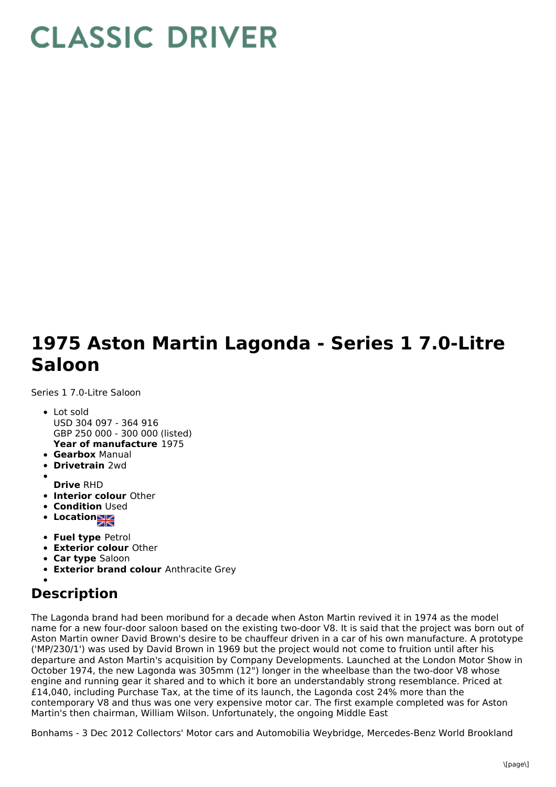## **CLASSIC DRIVER**

## **1975 Aston Martin Lagonda - Series 1 7.0-Litre Saloon**

Series 1 7.0-Litre Saloon

- **Year of manufacture** 1975 Lot sold USD 304 097 - 364 916 GBP 250 000 - 300 000 (listed)
- **Gearbox** Manual
- **Drivetrain** 2wd
- **Drive** RHD
- **Interior colour** Other
- **Condition Used**
- Location
- 
- **Fuel type** Petrol
- **Exterior colour** Other
- **Car type** Saloon
- **Exterior brand colour** Anthracite Grey

## **Description**

The Lagonda brand had been moribund for a decade when Aston Martin revived it in 1974 as the model name for a new four-door saloon based on the existing two-door V8. It is said that the project was born out of Aston Martin owner David Brown's desire to be chauffeur driven in a car of his own manufacture. A prototype ('MP/230/1') was used by David Brown in 1969 but the project would not come to fruition until after his departure and Aston Martin's acquisition by Company Developments. Launched at the London Motor Show in October 1974, the new Lagonda was 305mm (12") longer in the wheelbase than the two-door V8 whose engine and running gear it shared and to which it bore an understandably strong resemblance. Priced at £14,040, including Purchase Tax, at the time of its launch, the Lagonda cost 24% more than the contemporary V8 and thus was one very expensive motor car. The first example completed was for Aston Martin's then chairman, William Wilson. Unfortunately, the ongoing Middle East

Bonhams - 3 Dec 2012 Collectors' Motor cars and Automobilia Weybridge, Mercedes-Benz World Brookland